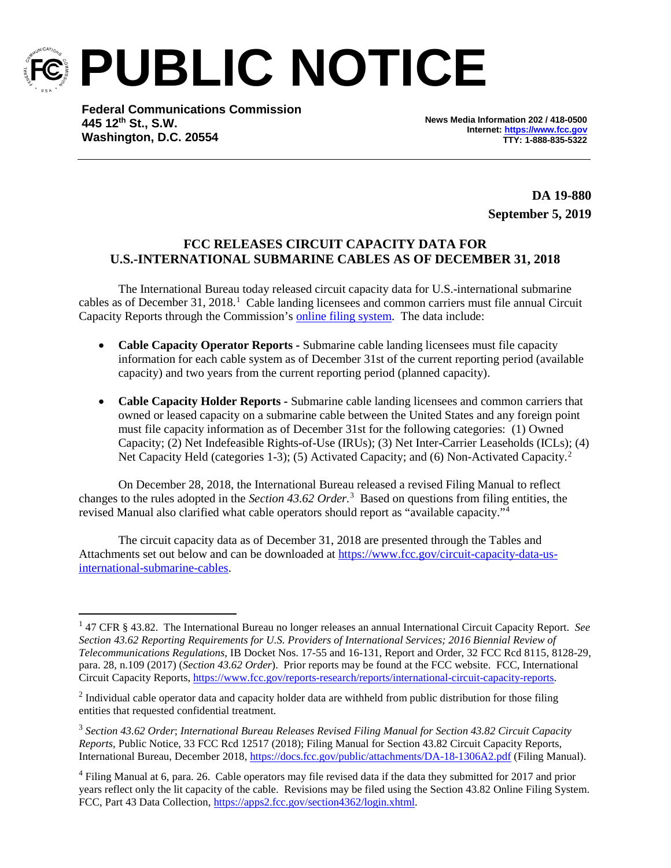

**PUBLIC NOTICE**

**Federal Communications Commission 445 12th St., S.W. Washington, D.C. 20554**

**News Media Information 202 / 418-0500 Internet[: https://www.fcc.gov](https://www.fcc.gov/) TTY: 1-888-835-5322**

> **DA 19-880 September 5, 2019**

## **FCC RELEASES CIRCUIT CAPACITY DATA FOR U.S.-INTERNATIONAL SUBMARINE CABLES AS OF DECEMBER 31, 2018**

The International Bureau today released circuit capacity data for U.S.-international submarine cables as of December 3[1](#page-0-0), 2018.<sup>1</sup> Cable landing licensees and common carriers must file annual Circuit Capacity Reports through the Commission's [online filing system.](https://apps2.fcc.gov/section4362/login.xhtml) The data include:

- **Cable Capacity Operator Reports -** Submarine cable landing licensees must file capacity information for each cable system as of December 31st of the current reporting period (available capacity) and two years from the current reporting period (planned capacity).
- **Cable Capacity Holder Reports -** Submarine cable landing licensees and common carriers that owned or leased capacity on a submarine cable between the United States and any foreign point must file capacity information as of December 31st for the following categories: (1) Owned Capacity; (2) Net Indefeasible Rights-of-Use (IRUs); (3) Net Inter-Carrier Leaseholds (ICLs); (4) Net Capacity Held (categories 1-3); (5) Activated Capacity; and (6) Non-Activated Capacity.<sup>[2](#page-0-1)</sup>

On December 28, 2018, the International Bureau released a revised Filing Manual to reflect changes to the rules adopted in the *Section 4[3](#page-0-2).62 Order*.<sup>3</sup> Based on questions from filing entities, the revised Manual also clarified what cable operators should report as "available capacity."[4](#page-0-3)

The circuit capacity data as of December 31, 2018 are presented through the Tables and Attachments set out below and can be downloaded a[t https://www.fcc.gov/circuit-capacity-data-us](https://www.fcc.gov/circuit-capacity-data-us-international-submarine-cables)[international-submarine-cables.](https://www.fcc.gov/circuit-capacity-data-us-international-submarine-cables)

<span id="page-0-0"></span> <sup>1</sup> 47 CFR § 43.82. The International Bureau no longer releases an annual International Circuit Capacity Report. *See Section 43.62 Reporting Requirements for U.S. Providers of International Services; 2016 Biennial Review of Telecommunications Regulations*, IB Docket Nos. 17-55 and 16-131, Report and Order, 32 FCC Rcd 8115, 8128-29, para. 28, n.109 (2017) (*Section 43.62 Order*). Prior reports may be found at the FCC website. FCC, International Circuit Capacity Reports, [https://www.fcc.gov/reports-research/reports/international-circuit-capacity-reports.](https://www.fcc.gov/reports-research/reports/international-circuit-capacity-reports)

<span id="page-0-1"></span><sup>&</sup>lt;sup>2</sup> Individual cable operator data and capacity holder data are withheld from public distribution for those filing entities that requested confidential treatment.

<span id="page-0-2"></span><sup>3</sup> *Section 43.62 Order*; *International Bureau Releases Revised Filing Manual for Section 43.82 Circuit Capacity Reports,* Public Notice, 33 FCC Rcd 12517 (2018); Filing Manual for Section 43.82 Circuit Capacity Reports, International Bureau, December 2018,<https://docs.fcc.gov/public/attachments/DA-18-1306A2.pdf> (Filing Manual).

<span id="page-0-3"></span><sup>4</sup> Filing Manual at 6, para. 26. Cable operators may file revised data if the data they submitted for 2017 and prior years reflect only the lit capacity of the cable. Revisions may be filed using the Section 43.82 Online Filing System. FCC, Part 43 Data Collection, [https://apps2.fcc.gov/section4362/login.xhtml.](https://apps2.fcc.gov/section4362/login.xhtml)